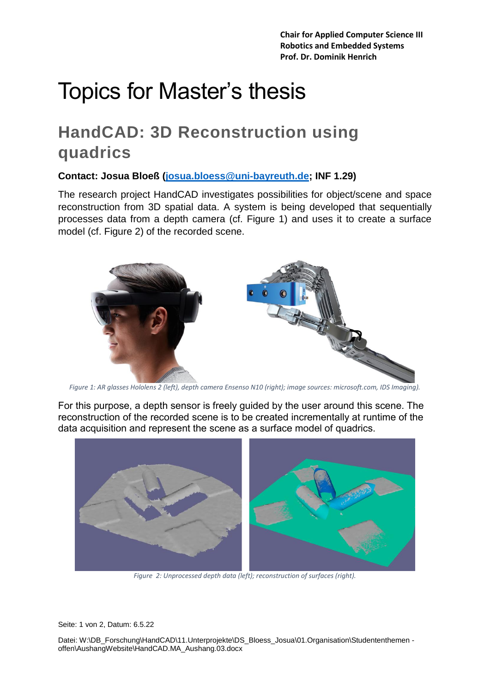**Chair for Applied Computer Science III Robotics and Embedded Systems Prof. Dr. Dominik Henrich**

# Topics for Master's thesis

## **HandCAD: 3D Reconstruction using quadrics**

**Contact: Josua Bloeß [\(josua.bloess@uni-bayreuth.de;](mailto:josua.bloess@uni-bayreuth.de) INF 1.29)**

The research project HandCAD investigates possibilities for object/scene and space reconstruction from 3D spatial data. A system is being developed that sequentially processes data from a depth camera (cf. Figure 1) and uses it to create a surface model (cf. Figure 2) of the recorded scene.



*Figure 1: AR glasses Hololens 2 (left), depth camera Ensenso N10 (right); image sources: microsoft.com, IDS Imaging).*

For this purpose, a depth sensor is freely guided by the user around this scene. The reconstruction of the recorded scene is to be created incrementally at runtime of the data acquisition and represent the scene as a surface model of quadrics.



*Figure 2: Unprocessed depth data (left); reconstruction of surfaces (right).*

Seite: 1 von 2, Datum: 6.5.22

Datei: W:\DB\_Forschung\HandCAD\11.Unterprojekte\DS\_Bloess\_Josua\01.Organisation\Studententhemen offen\AushangWebsite\HandCAD.MA\_Aushang.03.docx